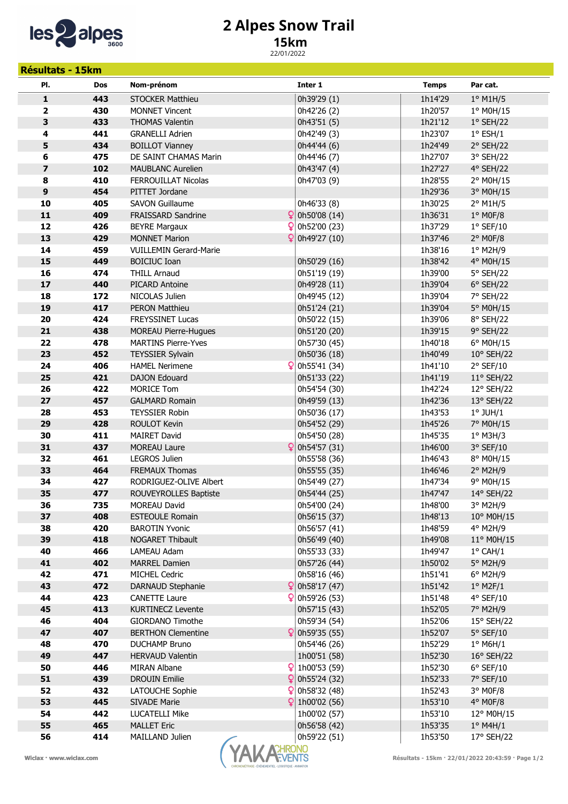

## 2 Alpes Snow Trail

## 15km

22/01/2022

| <b>Résultats - 15km</b> |            |                                                 |              |                                                   |                    |                                 |  |  |  |
|-------------------------|------------|-------------------------------------------------|--------------|---------------------------------------------------|--------------------|---------------------------------|--|--|--|
| PI.                     | <b>Dos</b> | Nom-prénom                                      |              | Inter 1                                           | <b>Temps</b>       | Par cat.                        |  |  |  |
| $\mathbf 1$             | 443        | <b>STOCKER Matthieu</b>                         |              | 0h39'29 (1)                                       | 1h14'29            | $1°$ M1H/5                      |  |  |  |
| 2                       | 430        | <b>MONNET Vincent</b>                           |              | 0h42'26 (2)                                       | 1h20'57            | 1° M0H/15                       |  |  |  |
| 3                       | 433        | <b>THOMAS Valentin</b>                          |              | 0h43'51 (5)                                       | 1h21'12            | $1°$ SEH/22                     |  |  |  |
| 4                       | 441        | <b>GRANELLI Adrien</b>                          |              | 0h42'49 (3)                                       | 1h23'07            | $1^{\circ}$ ESH/1               |  |  |  |
| 5                       | 434        | <b>BOILLOT Vianney</b>                          |              | 0h44'44 (6)                                       | 1h24'49            | 2° SEH/22                       |  |  |  |
| 6                       | 475        | DE SAINT CHAMAS Marin                           |              | 0h44'46 (7)                                       | 1h27'07            | 3° SEH/22                       |  |  |  |
| $\overline{\mathbf{z}}$ | 102        | <b>MAUBLANC Aurelien</b>                        |              | 0h43'47 (4)                                       | 1h27'27            | 4° SEH/22                       |  |  |  |
| 8                       | 410        | FERROUILLAT Nicolas                             |              | 0h47'03 (9)                                       | 1h28'55            | 2° M0H/15                       |  |  |  |
| $\boldsymbol{9}$        | 454        | PITTET Jordane                                  |              |                                                   | 1h29'36            | 3° M0H/15                       |  |  |  |
| 10                      | 405        | <b>SAVON Guillaume</b>                          |              | 0h46'33 (8)                                       | 1h30'25            | $2^{\circ}$ M1H/5               |  |  |  |
| $\mathbf{11}$           | 409        | <b>FRAISSARD Sandrine</b>                       |              | $\left  \right $ 0h50'08 (14)                     | 1h36'31            | $1°$ MOF/8                      |  |  |  |
| 12                      | 426        | <b>BEYRE Margaux</b>                            | $\mathsf{Q}$ | 0h52'00 (23)                                      | 1h37'29            | $1°$ SEF/10                     |  |  |  |
| 13                      | 429        | <b>MONNET Marion</b>                            | $\mathbf{Q}$ | 0h49'27 (10)                                      | 1h37'46            | $2°$ MOF/8                      |  |  |  |
| 14                      | 459        | <b>VUILLEMIN Gerard-Marie</b>                   |              |                                                   | 1h38'16            | 1° M2H/9                        |  |  |  |
| 15                      | 449        | <b>BOICIUC Ioan</b>                             |              | 0h50'29 (16)                                      | 1h38'42            | 4° M0H/15                       |  |  |  |
| 16                      | 474        | <b>THILL Arnaud</b>                             |              | 0h51'19 (19)                                      | 1h39'00            | 5° SEH/22                       |  |  |  |
| 17                      | 440        | <b>PICARD Antoine</b>                           |              | 0h49'28 (11)                                      | 1h39'04            | $6°$ SEH/22                     |  |  |  |
| 18                      | 172        | NICOLAS Julien                                  |              | 0h49'45 (12)                                      | 1h39'04            | 7° SEH/22                       |  |  |  |
| 19                      | 417        | <b>PERON Matthieu</b>                           |              | 0h51'24 (21)                                      | 1h39'04            | 5° M0H/15                       |  |  |  |
| 20                      | 424        | <b>FREYSSINET Lucas</b>                         |              | 0h50'22 (15)                                      | 1h39'06            | 8° SEH/22                       |  |  |  |
| 21                      | 438        | <b>MOREAU Pierre-Hugues</b>                     |              | 0h51'20 (20)                                      | 1h39'15            | 9° SEH/22                       |  |  |  |
| 22                      | 478        | <b>MARTINS Pierre-Yves</b>                      |              | 0h57'30 (45)                                      | 1h40'18            | 6° M0H/15                       |  |  |  |
| 23                      | 452        | <b>TEYSSIER Sylvain</b>                         |              | 0h50'36 (18)                                      | 1h40'49            | 10° SEH/22                      |  |  |  |
| 24                      | 406        | <b>HAMEL Nerimene</b>                           |              | $\frac{6}{2}$ 0h55'41 (34)                        | 1h41'10            | $2°$ SEF/10                     |  |  |  |
| 25                      | 421        | <b>DAJON Edouard</b>                            |              | 0h51'33 (22)                                      | 1h41'19            | 11° SEH/22                      |  |  |  |
| 26                      | 422        | <b>MORICE Tom</b>                               |              | 0h54'54 (30)                                      | 1h42'24            | 12° SEH/22                      |  |  |  |
| 27                      | 457        | <b>GALMARD Romain</b>                           |              | 0h49'59 (13)                                      | 1h42'36            | 13° SEH/22                      |  |  |  |
| 28                      | 453        | <b>TEYSSIER Robin</b>                           |              | 0h50'36 (17)                                      | 1h43'53            | $1°$ JUH/ $1$                   |  |  |  |
| 29                      | 428        | <b>ROULOT Kevin</b>                             |              | 0h54'52 (29)                                      | 1h45'26            | 7° M0H/15                       |  |  |  |
| 30                      | 411        | MAIRET David                                    |              | 0h54'50 (28)                                      | 1h45'35            | $1°$ M3H/3                      |  |  |  |
| 31                      | 437        | <b>MOREAU Laure</b>                             | Q            | 0h54'57 (31)                                      | 1h46'00            | 3° SEF/10                       |  |  |  |
| 32                      | 461        | <b>LEGROS Julien</b>                            |              | 0h55'58 (36)                                      | 1h46'43            | 8° M0H/15                       |  |  |  |
| 33                      | 464        | <b>FREMAUX Thomas</b>                           |              | 0h55'55 (35)                                      | 1h46'46            | $2°$ M2H/9                      |  |  |  |
| 34                      | 427        | RODRIGUEZ-OLIVE Albert                          |              | 0h54'49 (27)                                      | 1h47'34            | 9° M0H/15                       |  |  |  |
| 35                      | 477        | ROUVEYROLLES Baptiste                           |              | 0h54'44 (25)                                      | 1h47'47            | 14° SEH/22                      |  |  |  |
| 36                      | 735        | MOREAU David                                    |              | 0h54'00 (24)                                      | 1h48'00            | $3^\circ$ M2H/9                 |  |  |  |
| 37<br>38                | 408<br>420 | <b>ESTEOULE Romain</b><br><b>BAROTIN Yvonic</b> |              | 0h56'15 (37)                                      | 1h48'13            | 10° M0H/15                      |  |  |  |
| 39                      | 418        | <b>NOGARET Thibault</b>                         |              | 0h56'57 (41)                                      | 1h48'59<br>1h49'08 | 4° M2H/9<br>$11^{\circ}$ MOH/15 |  |  |  |
| 40                      | 466        | LAMEAU Adam                                     |              | 0h56'49 (40)                                      | 1h49'47            |                                 |  |  |  |
| 41                      | 402        | <b>MARREL Damien</b>                            |              | 0h55'33 (33)<br>0h57'26 (44)                      | 1h50'02            | $1^{\circ}$ CAH/1<br>5° M2H/9   |  |  |  |
| 42                      | 471        | <b>MICHEL Cedric</b>                            |              | 0h58'16 (46)                                      | 1h51'41            | $6^{\circ}$ M2H/9               |  |  |  |
| 43                      | 472        | DARNAUD Stephanie                               |              | 0h58'17 (47)                                      | 1h51'42            | $1^{\circ}$ M2F/1               |  |  |  |
| 44                      | 423        | <b>CANETTE Laure</b>                            |              | 0h59'26 (53)                                      | 1h51'48            | 4° SEF/10                       |  |  |  |
| 45                      | 413        | <b>KURTINECZ Levente</b>                        |              | 0h57'15 (43)                                      | 1h52'05            | 7° M2H/9                        |  |  |  |
| 46                      | 404        | GIORDANO Timothe                                |              | 0h59'34 (54)                                      | 1h52'06            | 15° SEH/22                      |  |  |  |
| 47                      | 407        | <b>BERTHON Clementine</b>                       |              | $\frac{6}{2}$ 0h59'35 (55)                        | 1h52'07            | $5^{\circ}$ SEF/10              |  |  |  |
| 48                      | 470        | <b>DUCHAMP Bruno</b>                            |              | 0h54'46 (26)                                      | 1h52'29            | $1^\circ$ M6H/1                 |  |  |  |
| 49                      | 447        | <b>HERVAUD Valentin</b>                         |              | 1h00'51 (58)                                      | 1h52'30            | 16° SEH/22                      |  |  |  |
| 50                      | 446        | MIRAN Albane                                    | ₽            | 1h00'53 (59)                                      | 1h52'30            | $6^{\circ}$ SEF/10              |  |  |  |
| 51                      | 439        | <b>DROUIN Emilie</b>                            | Q            | 0h55'24 (32)                                      | 1h52'33            | 7° SEF/10                       |  |  |  |
| 52                      | 432        | LATOUCHE Sophie                                 | Q            | 0h58'32 (48)                                      | 1h52'43            | $3°$ MOF/8                      |  |  |  |
| 53                      | 445        | <b>SIVADE Marie</b>                             | $\mathsf{Q}$ | 1h00'02 (56)                                      | 1h53'10            | $4^{\circ}$ MOF/8               |  |  |  |
| 54                      | 442        | LUCATELLI Mike                                  |              | 1h00'02 (57)                                      | 1h53'10            | 12° M0H/15                      |  |  |  |
| 55                      | 465        | <b>MALLET Eric</b>                              |              | 0h56'58 (42)                                      | 1h53'35            | $1^{\circ}$ M4H/1               |  |  |  |
| 56                      | 414        | MAILLAND Julien                                 |              | 0h59'22 (51)                                      | 1h53'50            | 17° SEH/22                      |  |  |  |
|                         |            |                                                 |              |                                                   |                    |                                 |  |  |  |
| Wiclax · www.wiclax.com |            | <b>ACHRONO</b><br>YAL                           |              | Résultats - 15km · 22/01/2022 20:43:59 · Page 1/2 |                    |                                 |  |  |  |